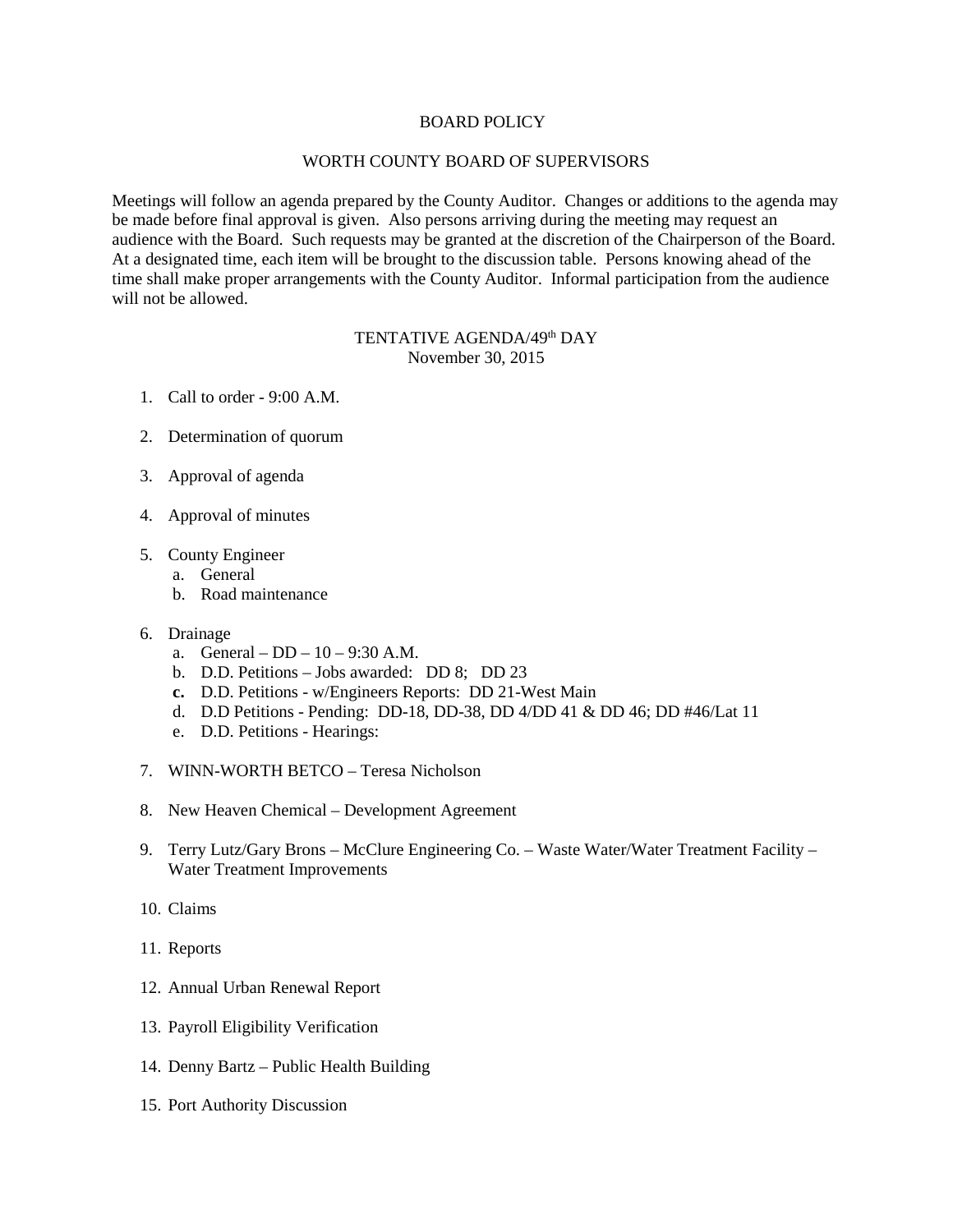## BOARD POLICY

## WORTH COUNTY BOARD OF SUPERVISORS

Meetings will follow an agenda prepared by the County Auditor. Changes or additions to the agenda may be made before final approval is given. Also persons arriving during the meeting may request an audience with the Board. Such requests may be granted at the discretion of the Chairperson of the Board. At a designated time, each item will be brought to the discussion table. Persons knowing ahead of the time shall make proper arrangements with the County Auditor. Informal participation from the audience will not be allowed.

## TENTATIVE AGENDA/49<sup>th</sup> DAY November 30, 2015

- 1. Call to order 9:00 A.M.
- 2. Determination of quorum
- 3. Approval of agenda
- 4. Approval of minutes
- 5. County Engineer
	- a. General
	- b. Road maintenance
- 6. Drainage
	- a. General DD 10 9:30 A.M.
	- b. D.D. Petitions Jobs awarded: DD 8; DD 23
	- **c.** D.D. Petitions w/Engineers Reports: DD 21-West Main
	- d. D.D Petitions Pending: DD-18, DD-38, DD 4/DD 41 & DD 46; DD #46/Lat 11
	- e. D.D. Petitions Hearings:
- 7. WINN-WORTH BETCO Teresa Nicholson
- 8. New Heaven Chemical Development Agreement
- 9. Terry Lutz/Gary Brons McClure Engineering Co. Waste Water/Water Treatment Facility Water Treatment Improvements
- 10. Claims
- 11. Reports
- 12. Annual Urban Renewal Report
- 13. Payroll Eligibility Verification
- 14. Denny Bartz Public Health Building
- 15. Port Authority Discussion